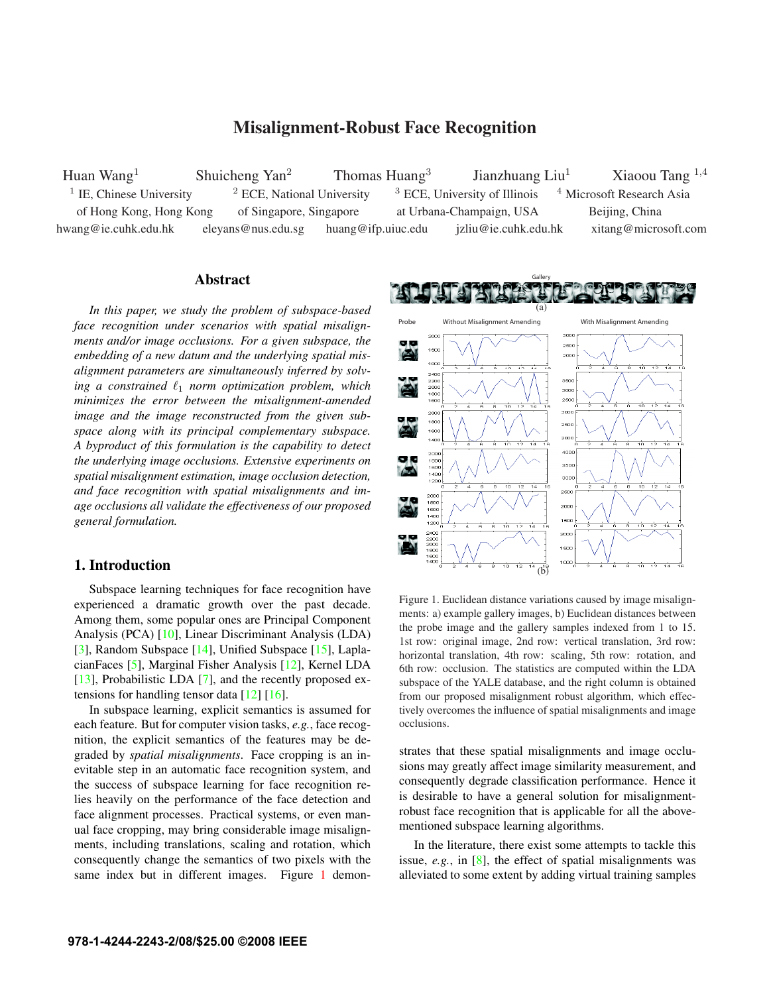# Misalignment-Robust Face Recognition

Huan Wang<sup>1</sup> Shuicheng Yan<sup>2</sup> Thomas Huang<sup>3</sup> Jianzhuang Liu<sup>1</sup> Xiaoou Tang <sup>1,4</sup> <sup>1</sup> IE, Chinese University <sup>2</sup> ECE, National University <sup>3</sup> ECE, University of Illinois <sup>4</sup> Microsoft Research Asia of Hong Kong, Hong Kong of Singapore, Singapore at Urbana-Champaign, USA Beijing, China hwang@ie.cuhk.edu.hk eleyans@nus.edu.sg huang@ifp.uiuc.edu jzliu@ie.cuhk.edu.hk xitang@microsoft.com

## Abstract

*In this paper, we study the problem of subspace-based face recognition under scenarios with spatial misalignments and/or image occlusions. For a given subspace, the embedding of a new datum and the underlying spatial misalignment parameters are simultaneously inferred by solv*ing a constrained  $\ell_1$  *norm optimization problem, which minimizes the error between the misalignment-amended image and the image reconstructed from the given subspace along with its principal complementary subspace. A byproduct of this formulation is the capability to detect the underlying image occlusions. Extensive experiments on spatial misalignment estimation, image occlusion detection, and face recognition with spatial misalignments and image occlusions all validate the effectiveness of our proposed general formulation.*

# 1. Introduction

Subspace learning techniques for face recognition have experienced a dramatic growth over the past decade. Among them, some popular ones are Principal Component Analysis (PCA) [10], Linear Discriminant Analysis (LDA) [3], Random Subspace [14], Unified Subspace [15], LaplacianFaces [5], Marginal Fisher Analysis [12], Kernel LDA [13], Probabilistic LDA [7], and the recently proposed extensions for handling tensor data  $[12] [16]$ .

In subspace learning, explicit semantics is assumed for each feature. But for computer vision tasks, *e.g.*, face recognition, the explicit semantics of the features may be degraded by *spatial misalignments*. Face cropping is an inevitable step in an automatic face recognition system, and the success of subspace learning for face recognition relies heavily on the performance of the face detection and face alignment processes. Practical systems, or even manual face cropping, may bring considerable image misalignments, including translations, scaling and rotation, which consequently change the semantics of two pixels with the same index but in different images. Figure 1 demon-



Figure 1. Euclidean distance variations caused by image misalignments: a) example gallery images, b) Euclidean distances between the probe image and the gallery samples indexed from 1 to 15. 1st row: original image, 2nd row: vertical translation, 3rd row: horizontal translation, 4th row: scaling, 5th row: rotation, and 6th row: occlusion. The statistics are computed within the LDA subspace of the YALE database, and the right column is obtained from our proposed misalignment robust algorithm, which effectively overcomes the influence of spatial misalignments and image occlusions.

strates that these spatial misalignments and image occlusions may greatly affect image similarity measurement, and consequently degrade classification performance. Hence it is desirable to have a general solution for misalignmentrobust face recognition that is applicable for all the abovementioned subspace learning algorithms.

In the literature, there exist some attempts to tackle this issue, *e.g.*, in [8], the effect of spatial misalignments was alleviated to some extent by adding virtual training samples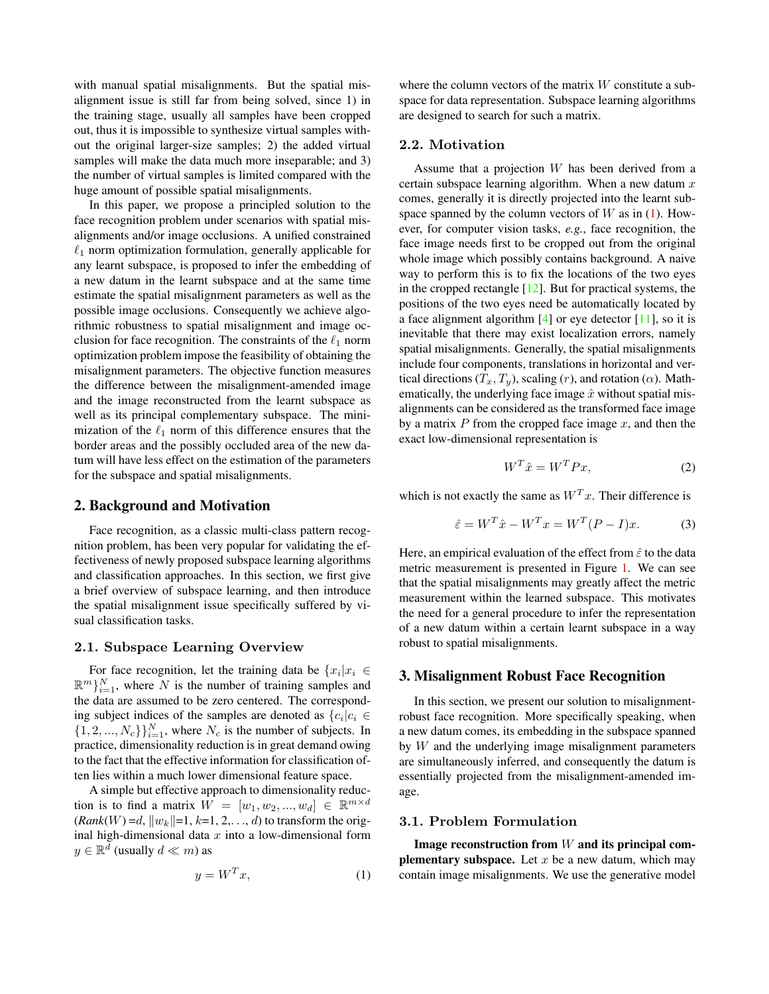with manual spatial misalignments. But the spatial misalignment issue is still far from being solved, since 1) in the training stage, usually all samples have been cropped out, thus it is impossible to synthesize virtual samples without the original larger-size samples; 2) the added virtual samples will make the data much more inseparable; and 3) the number of virtual samples is limited compared with the huge amount of possible spatial misalignments.

In this paper, we propose a principled solution to the face recognition problem under scenarios with spatial misalignments and/or image occlusions. A unified constrained  $\ell_1$  norm optimization formulation, generally applicable for any learnt subspace, is proposed to infer the embedding of a new datum in the learnt subspace and at the same time estimate the spatial misalignment parameters as well as the possible image occlusions. Consequently we achieve algorithmic robustness to spatial misalignment and image occlusion for face recognition. The constraints of the  $\ell_1$  norm optimization problem impose the feasibility of obtaining the misalignment parameters. The objective function measures the difference between the misalignment-amended image and the image reconstructed from the learnt subspace as well as its principal complementary subspace. The minimization of the  $\ell_1$  norm of this difference ensures that the border areas and the possibly occluded area of the new datum will have less effect on the estimation of the parameters for the subspace and spatial misalignments.

#### 2. Background and Motivation

Face recognition, as a classic multi-class pattern recognition problem, has been very popular for validating the effectiveness of newly proposed subspace learning algorithms and classification approaches. In this section, we first give a brief overview of subspace learning, and then introduce the spatial misalignment issue specifically suffered by visual classification tasks.

# **2.1. Subspace Learning Overview**

For face recognition, let the training data be  $\{x_i | x_i \in$  $\mathbb{R}^m$ <sub>i=1</sub>, where N is the number of training samples and the data are assumed to be zero centered. The corresponding subject indices of the samples are denoted as  ${c_i|c_i \in \mathbb{R}^2}$  $\{1, 2, ..., N_c\}\}_{i=1}^N$ , where  $N_c$  is the number of subjects. In practice, dimensionality reduction is in great demand owing to the fact that the effective information for classification often lies within a much lower dimensional feature space.

A simple but effective approach to dimensionality reduction is to find a matrix  $W = [w_1, w_2, ..., w_d] \in \mathbb{R}^{m \times d}$  $(Rank(W) = d, ||w_k|| = 1, k = 1, 2, \ldots, d)$  to transform the original high-dimensional data  $x$  into a low-dimensional form  $y \in \mathbb{R}^d$  (usually  $d \ll m$ ) as

$$
y = W^T x,\tag{1}
$$

where the column vectors of the matrix  $W$  constitute a subspace for data representation. Subspace learning algorithms are designed to search for such a matrix.

# **2.2. Motivation**

Assume that a projection W has been derived from a certain subspace learning algorithm. When a new datum  $x$ comes, generally it is directly projected into the learnt subspace spanned by the column vectors of  $W$  as in (1). However, for computer vision tasks, *e.g.*, face recognition, the face image needs first to be cropped out from the original whole image which possibly contains background. A naive way to perform this is to fix the locations of the two eyes in the cropped rectangle  $[12]$ . But for practical systems, the positions of the two eyes need be automatically located by a face alignment algorithm  $[4]$  or eye detector  $[11]$ , so it is inevitable that there may exist localization errors, namely spatial misalignments. Generally, the spatial misalignments include four components, translations in horizontal and vertical directions  $(T_x, T_y)$ , scaling  $(r)$ , and rotation  $(\alpha)$ . Mathematically, the underlying face image  $\hat{x}$  without spatial misalignments can be considered as the transformed face image by a matrix  $P$  from the cropped face image  $x$ , and then the exact low-dimensional representation is

$$
W^T \hat{x} = W^T P x,\tag{2}
$$

which is not exactly the same as  $W<sup>T</sup>x$ . Their difference is

$$
\hat{\varepsilon} = W^T \hat{x} - W^T x = W^T (P - I) x.
$$
 (3)

Here, an empirical evaluation of the effect from  $\hat{\varepsilon}$  to the data metric measurement is presented in Figure 1. We can see that the spatial misalignments may greatly affect the metric measurement within the learned subspace. This motivates the need for a general procedure to infer the representation of a new datum within a certain learnt subspace in a way robust to spatial misalignments.

# 3. Misalignment Robust Face Recognition

In this section, we present our solution to misalignmentrobust face recognition. More specifically speaking, when a new datum comes, its embedding in the subspace spanned by  $W$  and the underlying image misalignment parameters are simultaneously inferred, and consequently the datum is essentially projected from the misalignment-amended image.

Image reconstruction from  $W$  and its principal com**plementary subspace.** Let  $x$  be a new datum, which may contain image misalignments. We use the generative model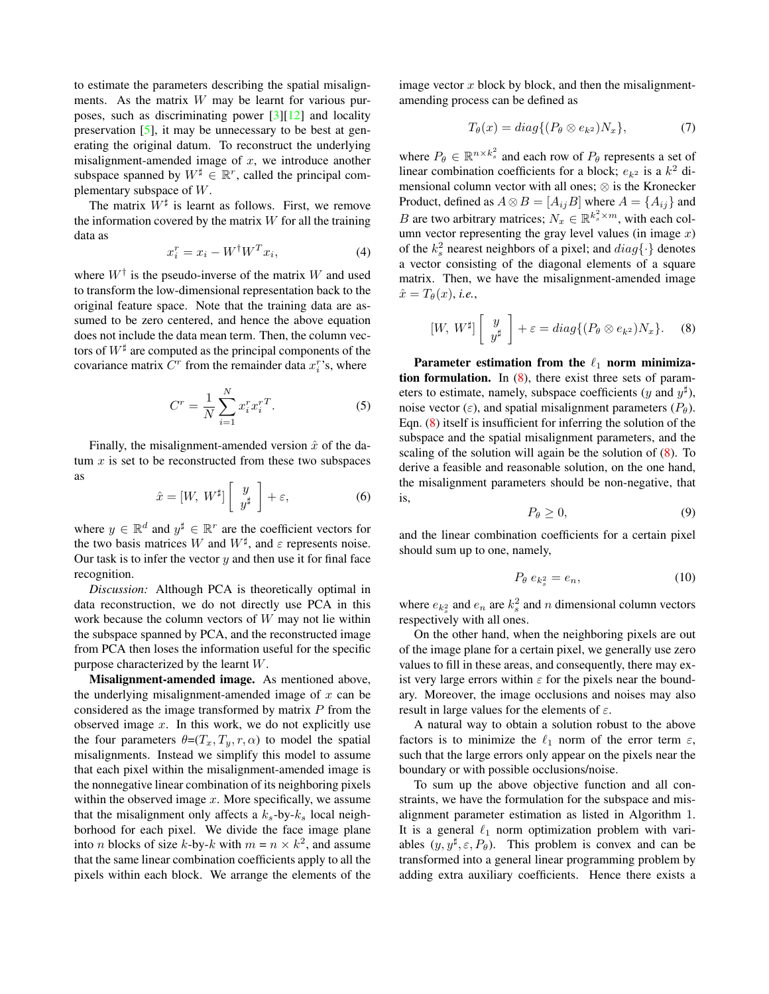to estimate the parameters describing the spatial misalignments. As the matrix  $W$  may be learnt for various purposes, such as discriminating power [3][12] and locality preservation [5], it may be unnecessary to be best at generating the original datum. To reconstruct the underlying misalignment-amended image of  $x$ , we introduce another subspace spanned by  $W^{\sharp} \in \mathbb{R}^{r}$ , called the principal complementary subspace of W.

The matrix  $W^{\sharp}$  is learnt as follows. First, we remove the information covered by the matrix  $W$  for all the training data as

$$
x_i^r = x_i - W^\dagger W^T x_i,\tag{4}
$$

where  $W^{\dagger}$  is the pseudo-inverse of the matrix W and used to transform the low-dimensional representation back to the original feature space. Note that the training data are assumed to be zero centered, and hence the above equation does not include the data mean term. Then, the column vectors of  $W^{\sharp}$  are computed as the principal components of the covariance matrix  $C<sup>r</sup>$  from the remainder data  $x_i^r$ 's, where

$$
C^{r} = \frac{1}{N} \sum_{i=1}^{N} x_{i}^{r} x_{i}^{r}.
$$
 (5)

Finally, the misalignment-amended version  $\hat{x}$  of the datum  $x$  is set to be reconstructed from these two subspaces as

$$
\hat{x} = [W, \ W^{\sharp}] \left[ \begin{array}{c} y \\ y^{\sharp} \end{array} \right] + \varepsilon, \tag{6}
$$

where  $y \in \mathbb{R}^d$  and  $y^{\sharp} \in \mathbb{R}^r$  are the coefficient vectors for the two basis matrices W and  $W^{\sharp}$ , and  $\varepsilon$  represents noise. Our task is to infer the vector  $y$  and then use it for final face recognition.

*Discussion:* Although PCA is theoretically optimal in data reconstruction, we do not directly use PCA in this work because the column vectors of W may not lie within the subspace spanned by PCA, and the reconstructed image from PCA then loses the information useful for the specific purpose characterized by the learnt W.

Misalignment-amended image. As mentioned above, the underlying misalignment-amended image of  $x$  can be considered as the image transformed by matrix  $P$  from the observed image  $x$ . In this work, we do not explicitly use the four parameters  $\theta = (T_x, T_y, r, \alpha)$  to model the spatial misalignments. Instead we simplify this model to assume that each pixel within the misalignment-amended image is the nonnegative linear combination of its neighboring pixels within the observed image  $x$ . More specifically, we assume that the misalignment only affects a  $k_s$ -by- $k_s$  local neighborhood for each pixel. We divide the face image plane into *n* blocks of size *k*-by-*k* with  $m = n \times k^2$ , and assume that the same linear combination coefficients apply to all the pixels within each block. We arrange the elements of the image vector  $x$  block by block, and then the misalignmentamending process can be defined as

$$
T_{\theta}(x) = diag\{(P_{\theta} \otimes e_{k^2})N_x\},\tag{7}
$$

where  $P_{\theta} \in \mathbb{R}^{n \times k_s^2}$  and each row of  $P_{\theta}$  represents a set of linear combination coefficients for a block;  $e_{k^2}$  is a  $k^2$  dimensional column vector with all ones; ⊗ is the Kronecker Product, defined as  $A \otimes B = [A_{ij}B]$  where  $A = \{A_{ij}\}\$ and *B* are two arbitrary matrices;  $N_x \in \mathbb{R}^{k_s^2 \times m}$ , with each column vector representing the gray level values (in image  $x$ ) of the  $k_s^2$  nearest neighbors of a pixel; and  $diag\{\cdot\}$  denotes a vector consisting of the diagonal elements of a square matrix. Then, we have the misalignment-amended image  $\hat{x} = T_{\theta}(x)$ , *i.e.*,

$$
[W, W^{\sharp}] \left[ \begin{array}{c} y \\ y^{\sharp} \end{array} \right] + \varepsilon = diag\{ (P_{\theta} \otimes e_{k^2})N_x \}. \tag{8}
$$

Parameter estimation from the  $\ell_1$  norm minimization formulation. In  $(8)$ , there exist three sets of parameters to estimate, namely, subspace coefficients (y and  $y^{\sharp}$ ), noise vector ( $\varepsilon$ ), and spatial misalignment parameters ( $P_{\theta}$ ). Eqn. (8) itself is insufficient for inferring the solution of the subspace and the spatial misalignment parameters, and the scaling of the solution will again be the solution of (8). To derive a feasible and reasonable solution, on the one hand, the misalignment parameters should be non-negative, that is,

$$
P_{\theta} \geq 0,\tag{9}
$$

and the linear combination coefficients for a certain pixel should sum up to one, namely,

$$
P_{\theta} e_{k_s^2} = e_n, \tag{10}
$$

where  $e_{k_s^2}$  and  $e_n$  are  $k_s^2$  and n dimensional column vectors respectively with all ones.

On the other hand, when the neighboring pixels are out of the image plane for a certain pixel, we generally use zero values to fill in these areas, and consequently, there may exist very large errors within  $\varepsilon$  for the pixels near the boundary. Moreover, the image occlusions and noises may also result in large values for the elements of  $\varepsilon$ .

A natural way to obtain a solution robust to the above factors is to minimize the  $\ell_1$  norm of the error term  $\varepsilon$ , such that the large errors only appear on the pixels near the boundary or with possible occlusions/noise.

To sum up the above objective function and all constraints, we have the formulation for the subspace and misalignment parameter estimation as listed in Algorithm 1. It is a general  $\ell_1$  norm optimization problem with variables  $(y, y^{\sharp}, \varepsilon, P_{\theta})$ . This problem is convex and can be transformed into a general linear programming problem by adding extra auxiliary coefficients. Hence there exists a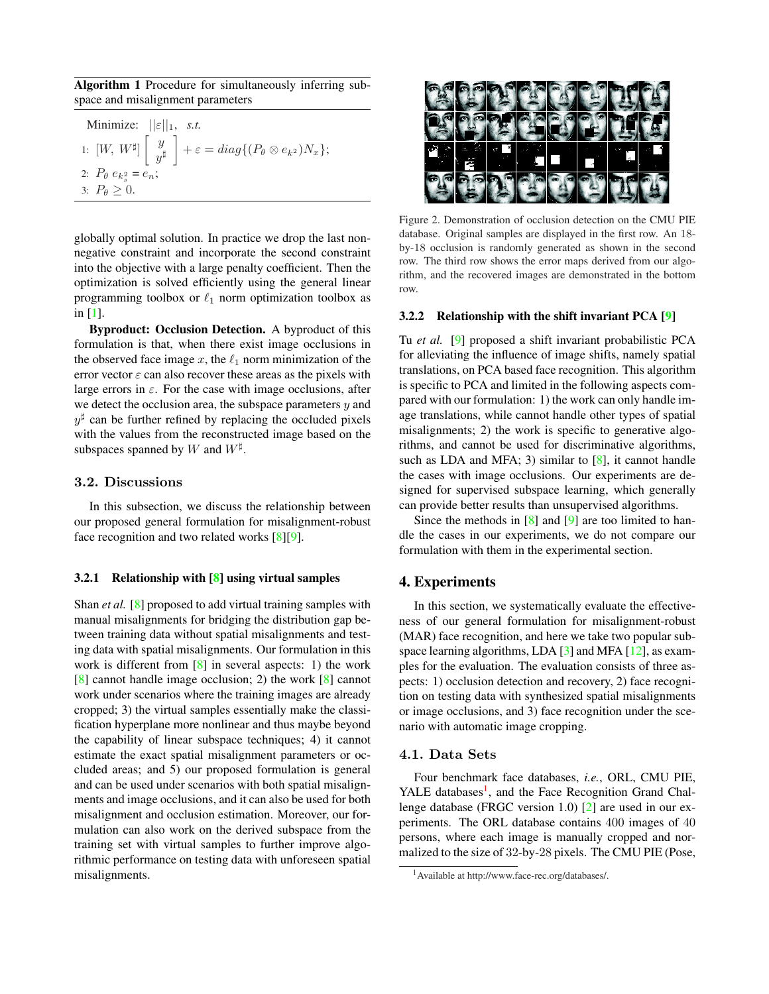Algorithm 1 Procedure for simultaneously inferring subspace and misalignment parameters

| Minimize: $  \varepsilon  _1$ , s.t.   |                                                                                                                             |
|----------------------------------------|-----------------------------------------------------------------------------------------------------------------------------|
|                                        | 1: $[W, W^{\sharp}] \begin{bmatrix} y \\ y^{\sharp} \end{bmatrix} + \varepsilon = diag\{(P_{\theta} \otimes e_{k^2})N_x\};$ |
| 2: $P_{\theta} e_{k_{s}^{2}} = e_{n};$ |                                                                                                                             |
| 3: $P_{\theta} > 0$ .                  |                                                                                                                             |

globally optimal solution. In practice we drop the last nonnegative constraint and incorporate the second constraint into the objective with a large penalty coefficient. Then the optimization is solved efficiently using the general linear programming toolbox or  $\ell_1$  norm optimization toolbox as in [1].

Byproduct: Occlusion Detection. A byproduct of this formulation is that, when there exist image occlusions in the observed face image  $x$ , the  $\ell_1$  norm minimization of the error vector  $\varepsilon$  can also recover these areas as the pixels with large errors in  $\varepsilon$ . For the case with image occlusions, after we detect the occlusion area, the subspace parameters  $y$  and  $y^{\sharp}$  can be further refined by replacing the occluded pixels with the values from the reconstructed image based on the subspaces spanned by W and  $W^{\sharp}$ .

# 3.2. Discussions

In this subsection, we discuss the relationship between our proposed general formulation for misalignment-robust face recognition and two related works [8][9].

### 3.2.1 Relationship with [8] using virtual samples

Shan *et al.* [8] proposed to add virtual training samples with manual misalignments for bridging the distribution gap between training data without spatial misalignments and testing data with spatial misalignments. Our formulation in this work is different from  $[8]$  in several aspects: 1) the work [8] cannot handle image occlusion; 2) the work [8] cannot work under scenarios where the training images are already cropped; 3) the virtual samples essentially make the classification hyperplane more nonlinear and thus maybe beyond the capability of linear subspace techniques; 4) it cannot estimate the exact spatial misalignment parameters or occluded areas; and 5) our proposed formulation is general and can be used under scenarios with both spatial misalignments and image occlusions, and it can also be used for both misalignment and occlusion estimation. Moreover, our formulation can also work on the derived subspace from the training set with virtual samples to further improve algorithmic performance on testing data with unforeseen spatial misalignments.



Figure 2. Demonstration of occlusion detection on the CMU PIE database. Original samples are displayed in the first row. An 18 by-18 occlusion is randomly generated as shown in the second row. The third row shows the error maps derived from our algorithm, and the recovered images are demonstrated in the bottom row.

#### 3.2.2 Relationship with the shift invariant PCA [9]

Tu *et al.* [9] proposed a shift invariant probabilistic PCA for alleviating the influence of image shifts, namely spatial translations, on PCA based face recognition. This algorithm is specific to PCA and limited in the following aspects compared with our formulation: 1) the work can only handle image translations, while cannot handle other types of spatial misalignments; 2) the work is specific to generative algorithms, and cannot be used for discriminative algorithms, such as LDA and MFA; 3) similar to  $[8]$ , it cannot handle the cases with image occlusions. Our experiments are designed for supervised subspace learning, which generally can provide better results than unsupervised algorithms.

Since the methods in  $[8]$  and  $[9]$  are too limited to handle the cases in our experiments, we do not compare our formulation with them in the experimental section.

# 4. Experiments

In this section, we systematically evaluate the effectiveness of our general formulation for misalignment-robust (MAR) face recognition, and here we take two popular subspace learning algorithms, LDA [3] and MFA [12], as examples for the evaluation. The evaluation consists of three aspects: 1) occlusion detection and recovery, 2) face recognition on testing data with synthesized spatial misalignments or image occlusions, and 3) face recognition under the scenario with automatic image cropping.

# 4.1. Data Sets

Four benchmark face databases, *i.e.*, ORL, CMU PIE, YALE databases<sup>1</sup>, and the Face Recognition Grand Challenge database (FRGC version 1.0) [2] are used in our experiments. The ORL database contains 400 images of 40 persons, where each image is manually cropped and normalized to the size of 32-by-28 pixels. The CMU PIE (Pose,

<sup>1</sup>Available at http://www.face-rec.org/databases/.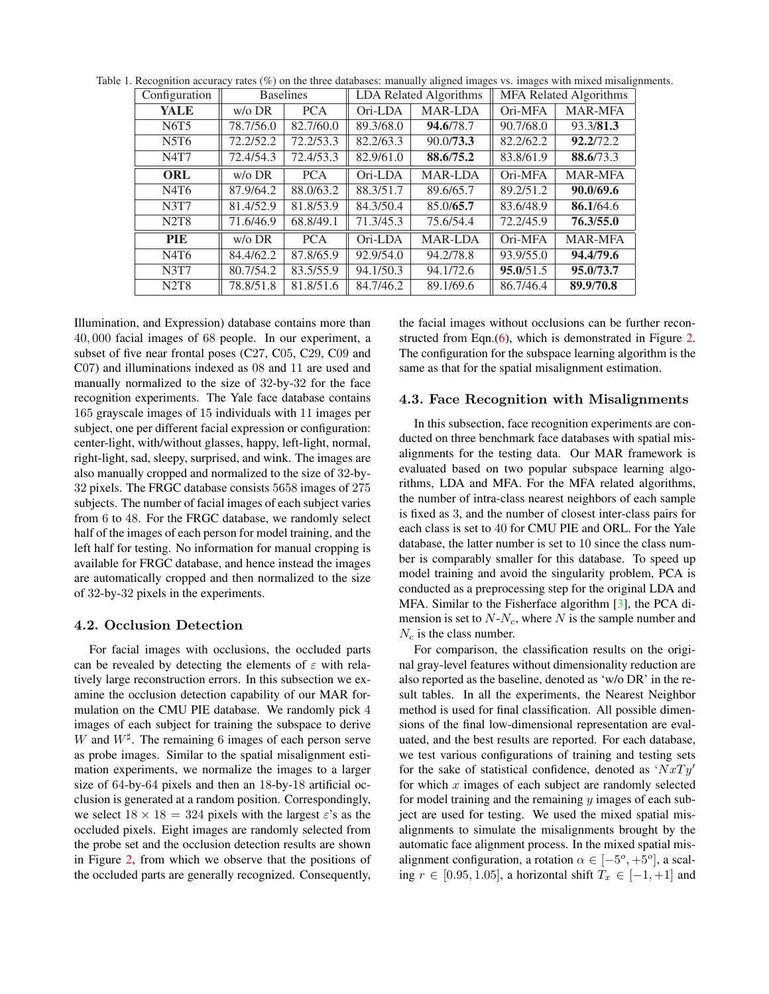| Configuration                 | <b>Baselines</b> |            | <b>LDA Related Algorithms</b> |           | <b>MFA Related Algorithms</b> |                |
|-------------------------------|------------------|------------|-------------------------------|-----------|-------------------------------|----------------|
| YALE                          | $w$ / $\circ$ DR | <b>PCA</b> | Ori-LDA                       | MAR-LDA   | Ori-MFA                       | <b>MAR-MFA</b> |
| N6T5                          | 78.7/56.0        | 82.7/60.0  | 89.3/68.0                     | 94.6/78.7 | 90.7/68.0                     | 93.3/81.3      |
| N5T6                          | 72.2/52.2        | 72.2/53.3  | 82.2/63.3                     | 90.0/73.3 | 82.2/62.2                     | 92.2/72.2      |
| N4T7                          | 72.4/54.3        | 72.4/53.3  | 82.9/61.0                     | 88.6/75.2 | 83.8/61.9                     | 88.6/73.3      |
| <b>ORL</b>                    | $w$ / $\circ$ DR | <b>PCA</b> | Ori-LDA                       | MAR-LDA   | Ori-MFA                       | <b>MAR-MFA</b> |
| N4T6                          | 87.9/64.2        | 88.0/63.2  | 88.3/51.7                     | 89.6/65.7 | 89.2/51.2                     | 90.0/69.6      |
| <b>N3T7</b>                   | 81.4/52.9        | 81.8/53.9  | 84.3/50.4                     | 85.0/65.7 | 83.6/48.9                     | 86.1/64.6      |
| <b>N2T8</b>                   | 71.6/46.9        | 68.8/49.1  | 71.3/45.3                     | 75.6/54.4 | 72.2/45.9                     | 76.3/55.0      |
| <b>PIE</b>                    | $w$ / $\circ$ DR | <b>PCA</b> | Ori-LDA                       | MAR-LDA   | Ori-MFA                       | <b>MAR-MFA</b> |
| N4T6                          | 84.4/62.2        | 87.8/65.9  | 92.9/54.0                     | 94.2/78.8 | 93.9/55.0                     | 94.4/79.6      |
| <b>N3T7</b>                   | 80.7/54.2        | 83.5/55.9  | 94.1/50.3                     | 94.1/72.6 | 95.0/51.5                     | 95.0/73.7      |
| N <sub>2</sub> T <sub>8</sub> | 78.8/51.8        | 81.8/51.6  | 84.7/46.2                     | 89.1/69.6 | 86.7/46.4                     | 89.9/70.8      |

Table 1. Recognition accuracy rates (%) on the three databases: manually aligned images vs. images with mixed misalignments.

Illumination, and Expression) database contains more than 40, 000 facial images of 68 people. In our experiment, a subset of five near frontal poses (C27, C05, C29, C09 and C07) and illuminations indexed as 08 and 11 are used and manually normalized to the size of 32-by-32 for the face recognition experiments. The Yale face database contains 165 grayscale images of 15 individuals with 11 images per subject, one per different facial expression or configuration: center-light, with/without glasses, happy, left-light, normal, right-light, sad, sleepy, surprised, and wink. The images are also manually cropped and normalized to the size of 32-by-32 pixels. The FRGC database consists 5658 images of 275 subjects. The number of facial images of each subject varies from 6 to 48. For the FRGC database, we randomly select half of the images of each person for model training, and the left half for testing. No information for manual cropping is available for FRGC database, and hence instead the images are automatically cropped and then normalized to the size of 32-by-32 pixels in the experiments.

For facial images with occlusions, the occluded parts can be revealed by detecting the elements of  $\varepsilon$  with relatively large reconstruction errors. In this subsection we examine the occlusion detection capability of our MAR formulation on the CMU PIE database. We randomly pick 4 images of each subject for training the subspace to derive W and  $W^{\sharp}$ . The remaining 6 images of each person serve as probe images. Similar to the spatial misalignment estimation experiments, we normalize the images to a larger size of 64-by-64 pixels and then an 18-by-18 artificial occlusion is generated at a random position. Correspondingly, we select  $18 \times 18 = 324$  pixels with the largest  $\varepsilon$ 's as the occluded pixels. Eight images are randomly selected from the probe set and the occlusion detection results are shown in Figure 2, from which we observe that the positions of the occluded parts are generally recognized. Consequently, the facial images without occlusions can be further reconstructed from Eqn.(6), which is demonstrated in Figure 2. The configuration for the subspace learning algorithm is the same as that for the spatial misalignment estimation.

### **4.3. Face Recognition with Misalignments**

In this subsection, face recognition experiments are conducted on three benchmark face databases with spatial misalignments for the testing data. Our MAR framework is evaluated based on two popular subspace learning algorithms, LDA and MFA. For the MFA related algorithms, the number of intra-class nearest neighbors of each sample is fixed as 3, and the number of closest inter-class pairs for each class is set to 40 for CMU PIE and ORL. For the Yale database, the latter number is set to 10 since the class number is comparably smaller for this database. To speed up model training and avoid the singularity problem, PCA is conducted as a preprocessing step for the original LDA and MFA. Similar to the Fisherface algorithm [3], the PCA dimension is set to  $N-N_c$ , where N is the sample number and  $N_c$  is the class number.

For comparison, the classification results on the original gray-level features without dimensionality reduction are also reported as the baseline, denoted as 'w/o DR' in the result tables. In all the experiments, the Nearest Neighbor method is used for final classification. All possible dimensions of the final low-dimensional representation are evaluated, and the best results are reported. For each database, we test various configurations of training and testing sets for the sake of statistical confidence, denoted as ' $NxTy'$ for which  $x$  images of each subject are randomly selected for model training and the remaining  $y$  images of each subject are used for testing. We used the mixed spatial misalignments to simulate the misalignments brought by the automatic face alignment process. In the mixed spatial misalignment configuration, a rotation  $\alpha \in [-5^{\circ}, +5^{\circ}]$ , a scaling  $r \in [0.95, 1.05]$ , a horizontal shift  $T_x \in [-1, +1]$  and